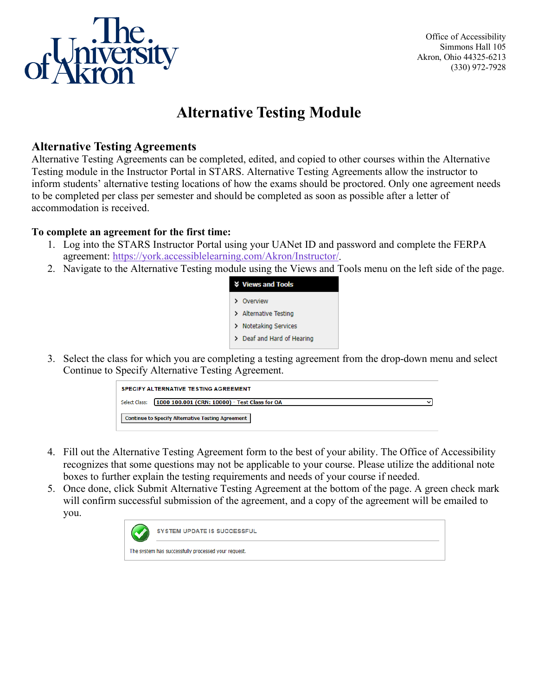

Office of Accessibility Simmons Hall 105 Akron, Ohio 44325-6213 (330) 972-7928

# **Alternative Testing Module**

## **Alternative Testing Agreements**

Alternative Testing Agreements can be completed, edited, and copied to other courses within the Alternative Testing module in the Instructor Portal in STARS. Alternative Testing Agreements allow the instructor to inform students' alternative testing locations of how the exams should be proctored. Only one agreement needs to be completed per class per semester and should be completed as soon as possible after a letter of accommodation is received.

#### **To complete an agreement for the first time:**

- 1. Log into the STARS Instructor Portal using your UANet ID and password and complete the FERPA agreement: [https://york.accessiblelearning.com/Akron/Instructor/.](https://york.accessiblelearning.com/Akron/Instructor/)
- 2. Navigate to the Alternative Testing module using the Views and Tools menu on the left side of the page.



3. Select the class for which you are completing a testing agreement from the drop-down menu and select Continue to Specify Alternative Testing Agreement.



- 4. Fill out the Alternative Testing Agreement form to the best of your ability. The Office of Accessibility recognizes that some questions may not be applicable to your course. Please utilize the additional note boxes to further explain the testing requirements and needs of your course if needed.
- 5. Once done, click Submit Alternative Testing Agreement at the bottom of the page. A green check mark will confirm successful submission of the agreement, and a copy of the agreement will be emailed to you.

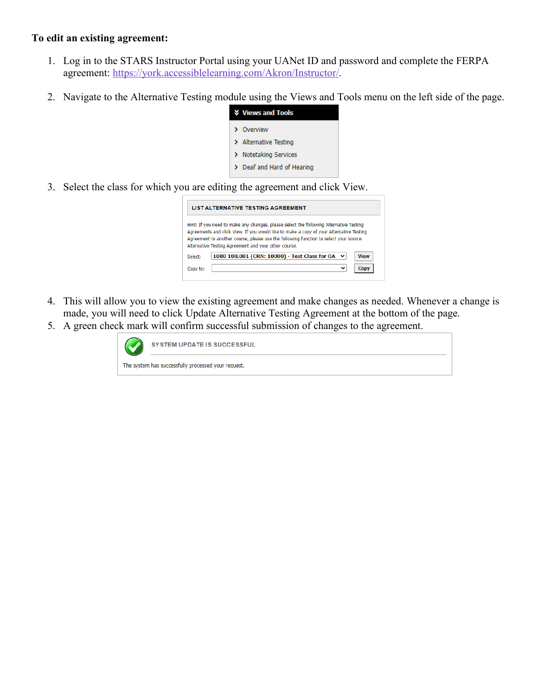#### **To edit an existing agreement:**

- 1. Log in to the STARS Instructor Portal using your UANet ID and password and complete the FERPA agreement: [https://york.accessiblelearning.com/Akron/Instructor/.](https://york.accessiblelearning.com/Akron/Instructor/)
- 2. Navigate to the Alternative Testing module using the Views and Tools menu on the left side of the page.

| <b>V</b> Views and Tools   |
|----------------------------|
| > Overview                 |
| > Alternative Testing      |
| > Notetaking Services      |
| > Deaf and Hard of Hearing |

3. Select the class for which you are editing the agreement and click View.

| <b>LIST ALTERNATIVE TESTING AGREEMENT</b> |                                                                                                                                                                                                                                                                                                                                   |  |
|-------------------------------------------|-----------------------------------------------------------------------------------------------------------------------------------------------------------------------------------------------------------------------------------------------------------------------------------------------------------------------------------|--|
|                                           | Hint: If you need to make any changes, please select the following Alternative Testing<br>Agreements and click View. If you would like to make a copy of your Alternative Testing<br>Agreement to another course, please use the following function to select your source<br>Alternative Testing Agreement and your other course. |  |
| Select:                                   | 1000 100.001 (CRN: 10000) - Test Class for OA $\sim$<br><b>View</b>                                                                                                                                                                                                                                                               |  |
| Copy to:                                  | $\checkmark$                                                                                                                                                                                                                                                                                                                      |  |

- 4. This will allow you to view the existing agreement and make changes as needed. Whenever a change is made, you will need to click Update Alternative Testing Agreement at the bottom of the page.
- 5. A green check mark will confirm successful submission of changes to the agreement.

| <b>SYSTEM UPDATE IS SUCCESSFUL</b>                  |
|-----------------------------------------------------|
| The system has successfully processed your request. |
|                                                     |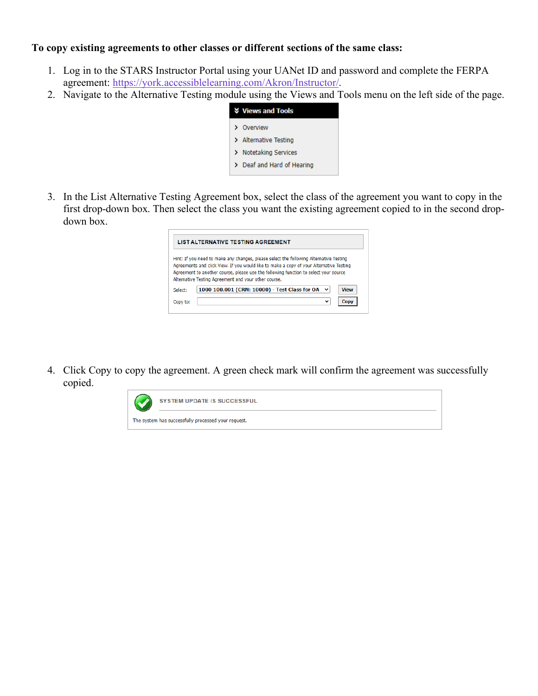#### **To copy existing agreements to other classes or different sections of the same class:**

- 1. Log in to the STARS Instructor Portal using your UANet ID and password and complete the FERPA agreement: [https://york.accessiblelearning.com/Akron/Instructor/.](https://york.accessiblelearning.com/Akron/Instructor/)
- 2. Navigate to the Alternative Testing module using the Views and Tools menu on the left side of the page.

|   | <b>V</b> Views and Tools   |
|---|----------------------------|
|   | > Overview                 |
|   | > Alternative Testing      |
| ≻ | Notetaking Services        |
|   | > Deaf and Hard of Hearing |
|   |                            |

3. In the List Alternative Testing Agreement box, select the class of the agreement you want to copy in the first drop-down box. Then select the class you want the existing agreement copied to in the second dropdown box.

| <b>LIST ALTERNATIVE TESTING AGREEMENT</b> |                                                                                                                                                                                                                                                                           |  |
|-------------------------------------------|---------------------------------------------------------------------------------------------------------------------------------------------------------------------------------------------------------------------------------------------------------------------------|--|
|                                           | Hint: If you need to make any changes, please select the following Alternative Testing<br>Agreements and click View. If you would like to make a copy of your Alternative Testing<br>Agreement to another course, please use the following function to select your source |  |
|                                           | Alternative Testing Agreement and your other course.                                                                                                                                                                                                                      |  |
| Select:                                   | 1000 100.001 (CRN: 10000) - Test Class for OA<br><b>View</b>                                                                                                                                                                                                              |  |

4. Click Copy to copy the agreement. A green check mark will confirm the agreement was successfully copied.

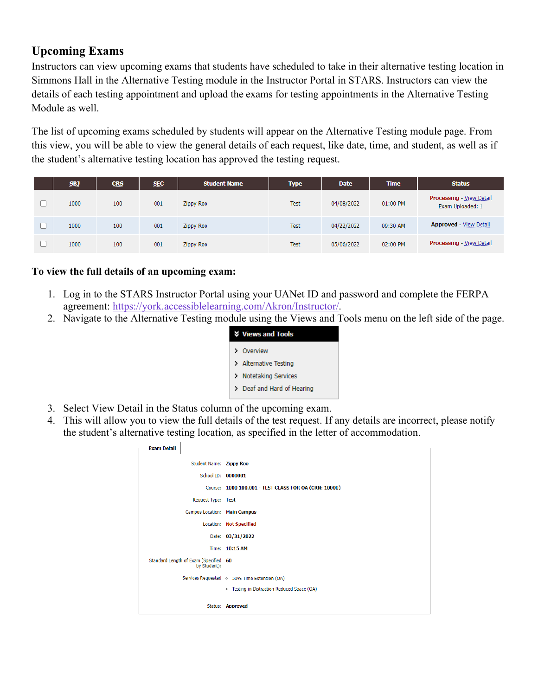# **Upcoming Exams**

Instructors can view upcoming exams that students have scheduled to take in their alternative testing location in Simmons Hall in the Alternative Testing module in the Instructor Portal in STARS. Instructors can view the details of each testing appointment and upload the exams for testing appointments in the Alternative Testing Module as well.

The list of upcoming exams scheduled by students will appear on the Alternative Testing module page. From this view, you will be able to view the general details of each request, like date, time, and student, as well as if the student's alternative testing location has approved the testing request.

| <b>SBJ</b> | <b>CRS</b> | <b>SEC</b> | <b>Student Name</b> | Type        | <b>Date</b> | <b>Time</b> | <b>Status</b>                                       |
|------------|------------|------------|---------------------|-------------|-------------|-------------|-----------------------------------------------------|
| 1000       | 100        | 001        | Zippy Roo           | <b>Test</b> | 04/08/2022  | 01:00 PM    | <b>Processing - View Detail</b><br>Exam Uploaded: 1 |
| 1000       | 100        | 001        | <b>Zippy Roo</b>    | <b>Test</b> | 04/22/2022  | 09:30 AM    | <b>Approved</b> - View Detail                       |
| 1000       | 100        | 001        | Zippy Roo           | <b>Test</b> | 05/06/2022  | 02:00 PM    | <b>Processing - View Detail</b>                     |

### **To view the full details of an upcoming exam:**

- 1. Log in to the STARS Instructor Portal using your UANet ID and password and complete the FERPA agreement: [https://york.accessiblelearning.com/Akron/Instructor/.](https://york.accessiblelearning.com/Akron/Instructor/)
- 2. Navigate to the Alternative Testing module using the Views and Tools menu on the left side of the page.

| <b>V</b> Views and Tools   |
|----------------------------|
| > Overview                 |
| > Alternative Testing      |
| > Notetaking Services      |
| > Deaf and Hard of Hearing |
|                            |

- 3. Select View Detail in the Status column of the upcoming exam.
- 4. This will allow you to view the full details of the test request. If any details are incorrect, please notify the student's alternative testing location, as specified in the letter of accommodation.

| <b>Exam Detail</b> |                                                       |                                                       |
|--------------------|-------------------------------------------------------|-------------------------------------------------------|
|                    | Student Name: Zippy Roo                               |                                                       |
|                    | School ID: 0000001                                    |                                                       |
|                    |                                                       | Course: 1000 100.001 - TEST CLASS FOR OA (CRN: 10000) |
|                    | Request Type: Test                                    |                                                       |
|                    | Campus Location: Main Campus                          |                                                       |
|                    |                                                       | Location: Not Specified                               |
|                    |                                                       | Date: 03/31/2022                                      |
|                    |                                                       | Time: 10:15 AM                                        |
|                    | Standard Length of Exam (Specified 60<br>by Student): |                                                       |
|                    |                                                       | Services Requested o 50% Time Extension (OA)          |
|                    |                                                       | o Testing in Distraction Reduced Space (OA)           |
|                    |                                                       | Status: Approved                                      |